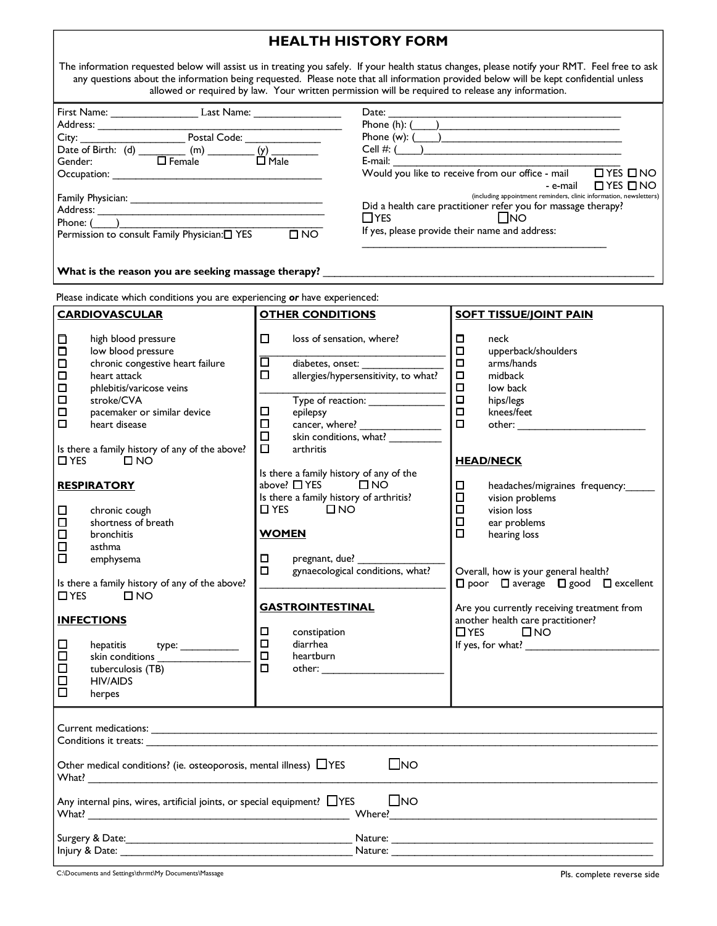## **HEALTH HISTORY FORM**

The information requested below will assist us in treating you safely. If your health status changes, please notify your RMT. Feel free to ask any questions about the information being requested. Please note that all information provided below will be kept confidential unless allowed or required by law. Your written permission will be required to release any information. First Name: Last Name: Address: \_\_\_\_\_\_\_\_\_\_\_\_\_\_\_\_\_\_\_\_\_\_\_\_\_\_\_\_\_\_\_\_\_\_\_\_\_\_\_\_\_\_ City: \_\_\_\_\_\_\_\_\_\_\_\_\_\_\_\_\_\_ Postal Code: \_\_\_\_\_\_\_\_\_\_\_\_\_ Date of Birth: (d)  $\underbrace{\hspace{1cm}}$   $\underbrace{\hspace{1cm}}$  (m)  $\underbrace{\hspace{1cm}}$  (y)  $\underbrace{\hspace{1cm}}$  Gender: Gender: Occupation: Family Physician: \_\_\_\_\_\_\_\_\_\_\_\_\_\_\_\_\_\_\_\_\_\_\_\_\_\_\_\_\_\_\_\_\_ Address: \_ Phone:  $($ Permission to consult Family Physician: T YES T NO  $Date:$ Phone  $(h)$ :  $($ Phone  $(w)$ :  $(\_\_)$ Cell #:  $($ E-mail:  $\frac{1}{2}$  E-mail:  $\frac{1}{2}$  B and  $\frac{1}{2}$  C and  $\frac{1}{2}$  B and  $\frac{1}{2}$  B and  $\frac{1}{2}$  B and  $\frac{1}{2}$  B and  $\frac{1}{2}$  B and  $\frac{1}{2}$  B and  $\frac{1}{2}$  B and  $\frac{1}{2}$  B and  $\frac{1}{2}$  B and  $\frac{1}{2}$  B and  $\frac$ Would you like to receive from our office - mail - e-mail □ YES □ NO (including appointment reminders, clinic information, newsletters) Did a health care practitioner refer you for massage therapy?<br> $\Box$ YES  $\square$ NO If yes, please provide their name and address: \_\_\_\_\_\_\_\_\_\_\_\_\_\_\_\_\_\_\_\_\_\_\_\_\_\_\_\_\_\_\_\_\_\_\_\_\_\_\_\_\_\_

What is the reason you are seeking massage therapy?

| Please indicate which conditions you are experiencing or have experienced:                                                                                                                     |                                                                                                                                                                                         |                                                |                                                                                                                                                                                                                                  |                                                                                                                   |                                                                                                                                                                                            |  |  |
|------------------------------------------------------------------------------------------------------------------------------------------------------------------------------------------------|-----------------------------------------------------------------------------------------------------------------------------------------------------------------------------------------|------------------------------------------------|----------------------------------------------------------------------------------------------------------------------------------------------------------------------------------------------------------------------------------|-------------------------------------------------------------------------------------------------------------------|--------------------------------------------------------------------------------------------------------------------------------------------------------------------------------------------|--|--|
| <b>CARDIOVASCULAR</b>                                                                                                                                                                          |                                                                                                                                                                                         | <b>OTHER CONDITIONS</b>                        |                                                                                                                                                                                                                                  | <b>SOFT TISSUE/JOINT PAIN</b>                                                                                     |                                                                                                                                                                                            |  |  |
| □<br>О<br>$\Box$<br>□<br>□<br>$\Box$<br>$\Box$<br>□                                                                                                                                            | high blood pressure<br>low blood pressure<br>chronic congestive heart failure<br>heart attack<br>phlebitis/varicose veins<br>stroke/CVA<br>pacemaker or similar device<br>heart disease | □<br>靣<br>$\Box$<br>$\Box$<br>$\Box$<br>$\Box$ | loss of sensation, where?<br>diabetes, onset:<br>allergies/hypersensitivity, to what?<br>Type of reaction: ______________<br>epilepsy                                                                                            | □<br>$\Box$<br>□<br>$\Box$<br>□<br>$\Box$<br>$\Box$<br>$\Box$                                                     | neck<br>upperback/shoulders<br>arms/hands<br>midback<br>low back<br>hips/legs<br>knees/feet                                                                                                |  |  |
| Is there a family history of any of the above?<br>$\square$ NO<br>$\Box$ YES                                                                                                                   |                                                                                                                                                                                         | $\Box$                                         | arthritis                                                                                                                                                                                                                        |                                                                                                                   | <b>HEAD/NECK</b>                                                                                                                                                                           |  |  |
| $\Box$<br>$\Box$<br>$\Box$<br>$\Box$<br>$\Box$                                                                                                                                                 | <b>RESPIRATORY</b><br>chronic cough<br>shortness of breath<br>bronchitis<br>asthma<br>emphysema                                                                                         |                                                | Is there a family history of any of the<br>above? $\Box$ YES $\Box$ NO<br>Is there a family history of arthritis?<br>$\Box$ YES $\Box$ NO<br><b>WOMEN</b><br>□<br>pregnant, due? _<br>$\Box$<br>gynaecological conditions, what? |                                                                                                                   | $\Box$<br>headaches/migraines frequency:<br>$\Box$<br>vision problems<br>$\Box$<br>vision loss<br>$\Box$<br>ear problems<br>$\Box$<br>hearing loss<br>Overall, how is your general health? |  |  |
| Is there a family history of any of the above?<br>$\Box$ YES<br>$\square$ NO                                                                                                                   |                                                                                                                                                                                         | <b>GASTROINTESTINAL</b>                        |                                                                                                                                                                                                                                  | $\square$ poor $\square$ average $\square$ good $\square$ excellent<br>Are you currently receiving treatment from |                                                                                                                                                                                            |  |  |
| □<br>$\Box$<br>□<br>$\Box$<br>П                                                                                                                                                                | <b>INFECTIONS</b><br>hepatitis<br>type: _____________<br>skin conditions<br>tuberculosis (TB)<br><b>HIV/AIDS</b><br>herpes                                                              | $\Box$<br>$\Box$<br>$\Box$<br>$\Box$           | constipation<br>diarrhea<br>heartburn                                                                                                                                                                                            |                                                                                                                   | another health care practitioner?<br>$\Box$ YES $\Box$ NO                                                                                                                                  |  |  |
| $\square$ NO<br>Other medical conditions? (ie. osteoporosis, mental illness) $\Box$ YES<br>Any internal pins, wires, artificial joints, or special equipment? $\Box$ YES<br>$\Box$ NO<br>What? |                                                                                                                                                                                         |                                                |                                                                                                                                                                                                                                  |                                                                                                                   |                                                                                                                                                                                            |  |  |
| Injury & Date:<br>Nature:                                                                                                                                                                      |                                                                                                                                                                                         |                                                |                                                                                                                                                                                                                                  |                                                                                                                   |                                                                                                                                                                                            |  |  |

C:\Documents and Settings\thrmt\My Documents\Massage